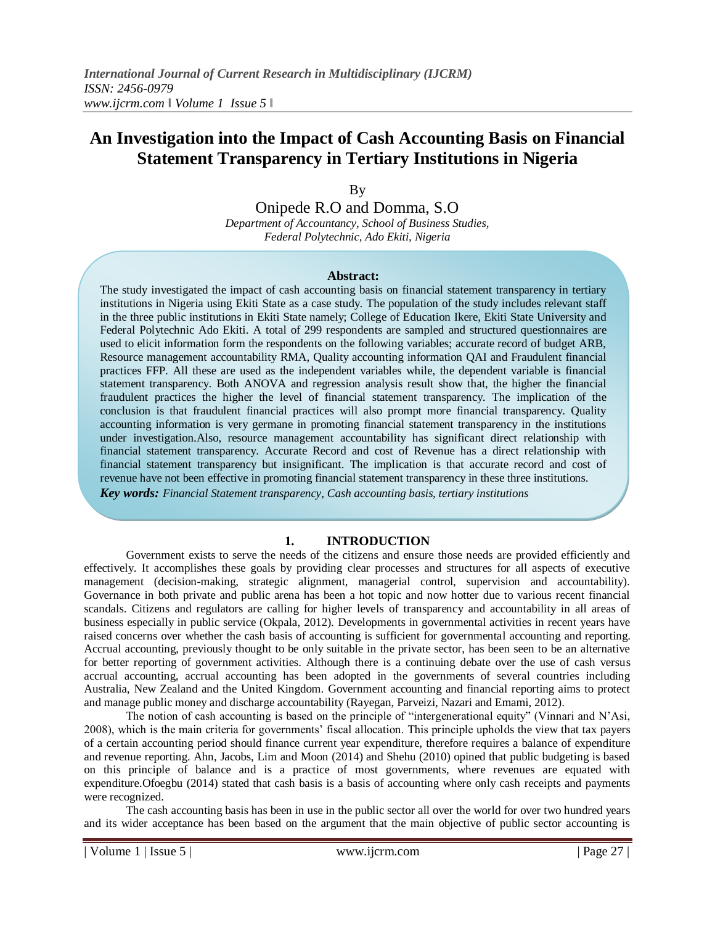# **An Investigation into the Impact of Cash Accounting Basis on Financial Statement Transparency in Tertiary Institutions in Nigeria**

By

Onipede R.O and Domma, S.O *Department of Accountancy, School of Business Studies, Federal Polytechnic, Ado Ekiti, Nigeria*

#### **Abstract:**

The study investigated the impact of cash accounting basis on financial statement transparency in tertiary institutions in Nigeria using Ekiti State as a case study. The population of the study includes relevant staff in the three public institutions in Ekiti State namely; College of Education Ikere, Ekiti State University and Federal Polytechnic Ado Ekiti. A total of 299 respondents are sampled and structured questionnaires are used to elicit information form the respondents on the following variables; accurate record of budget ARB, Resource management accountability RMA, Quality accounting information QAI and Fraudulent financial practices FFP. All these are used as the independent variables while, the dependent variable is financial statement transparency. Both ANOVA and regression analysis result show that, the higher the financial fraudulent practices the higher the level of financial statement transparency. The implication of the conclusion is that fraudulent financial practices will also prompt more financial transparency. Quality accounting information is very germane in promoting financial statement transparency in the institutions under investigation.Also, resource management accountability has significant direct relationship with financial statement transparency. Accurate Record and cost of Revenue has a direct relationship with financial statement transparency but insignificant. The implication is that accurate record and cost of revenue have not been effective in promoting financial statement transparency in these three institutions.

*Key words: Financial Statement transparency, Cash accounting basis, tertiary institutions*

#### **1. INTRODUCTION**

Government exists to serve the needs of the citizens and ensure those needs are provided efficiently and effectively. It accomplishes these goals by providing clear processes and structures for all aspects of executive management (decision-making, strategic alignment, managerial control, supervision and accountability). Governance in both private and public arena has been a hot topic and now hotter due to various recent financial scandals. Citizens and regulators are calling for higher levels of transparency and accountability in all areas of business especially in public service (Okpala, 2012). Developments in governmental activities in recent years have raised concerns over whether the cash basis of accounting is sufficient for governmental accounting and reporting. Accrual accounting, previously thought to be only suitable in the private sector, has been seen to be an alternative for better reporting of government activities. Although there is a continuing debate over the use of cash versus accrual accounting, accrual accounting has been adopted in the governments of several countries including Australia, New Zealand and the United Kingdom. Government accounting and financial reporting aims to protect and manage public money and discharge accountability (Rayegan, Parveizi, Nazari and Emami, 2012).

The notion of cash accounting is based on the principle of "intergenerational equity" (Vinnari and N"Asi, 2008), which is the main criteria for governments" fiscal allocation. This principle upholds the view that tax payers of a certain accounting period should finance current year expenditure, therefore requires a balance of expenditure and revenue reporting. Ahn, Jacobs, Lim and Moon (2014) and Shehu (2010) opined that public budgeting is based on this principle of balance and is a practice of most governments, where revenues are equated with expenditure.Ofoegbu (2014) stated that cash basis is a basis of accounting where only cash receipts and payments were recognized.

The cash accounting basis has been in use in the public sector all over the world for over two hundred years and its wider acceptance has been based on the argument that the main objective of public sector accounting is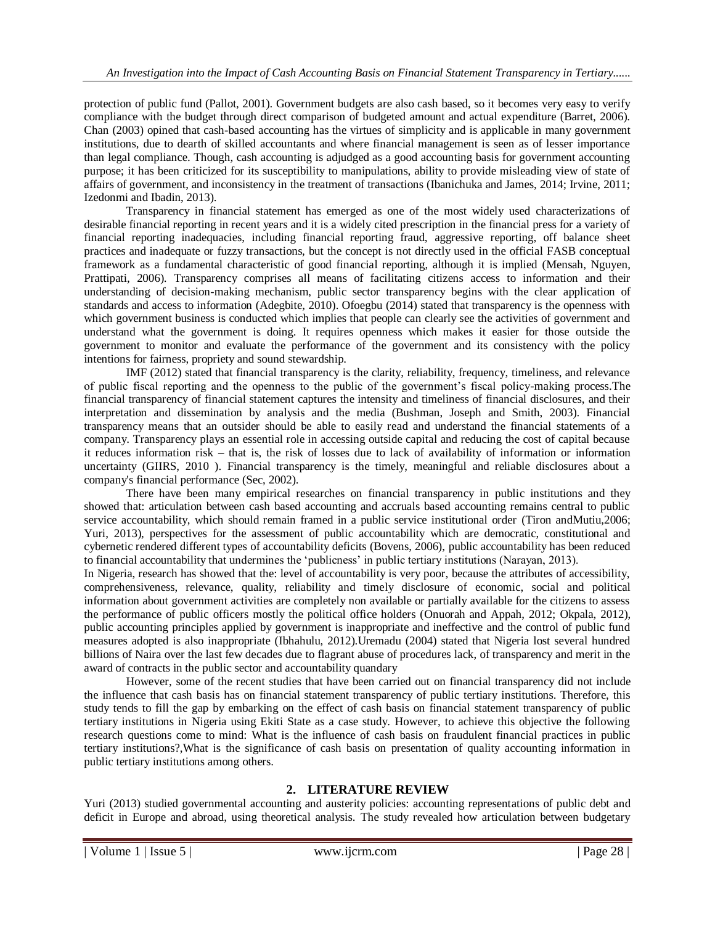protection of public fund (Pallot, 2001). Government budgets are also cash based, so it becomes very easy to verify compliance with the budget through direct comparison of budgeted amount and actual expenditure (Barret, 2006). Chan (2003) opined that cash-based accounting has the virtues of simplicity and is applicable in many government institutions, due to dearth of skilled accountants and where financial management is seen as of lesser importance than legal compliance. Though, cash accounting is adjudged as a good accounting basis for government accounting purpose; it has been criticized for its susceptibility to manipulations, ability to provide misleading view of state of affairs of government, and inconsistency in the treatment of transactions (Ibanichuka and James, 2014; Irvine, 2011; Izedonmi and Ibadin, 2013).

Transparency in financial statement has emerged as one of the most widely used characterizations of desirable financial reporting in recent years and it is a widely cited prescription in the financial press for a variety of financial reporting inadequacies, including financial reporting fraud, aggressive reporting, off balance sheet practices and inadequate or fuzzy transactions, but the concept is not directly used in the official FASB conceptual framework as a fundamental characteristic of good financial reporting, although it is implied (Mensah, Nguyen, Prattipati, 2006). Transparency comprises all means of facilitating citizens access to information and their understanding of decision-making mechanism, public sector transparency begins with the clear application of standards and access to information (Adegbite, 2010). Ofoegbu (2014) stated that transparency is the openness with which government business is conducted which implies that people can clearly see the activities of government and understand what the government is doing. It requires openness which makes it easier for those outside the government to monitor and evaluate the performance of the government and its consistency with the policy intentions for fairness, propriety and sound stewardship.

IMF (2012) stated that financial transparency is the clarity, reliability, frequency, timeliness, and relevance of public fiscal reporting and the openness to the public of the government"s fiscal policy-making process.The financial transparency of financial statement captures the intensity and timeliness of financial disclosures, and their interpretation and dissemination by analysis and the media (Bushman, Joseph and Smith, 2003). Financial transparency means that an outsider should be able to easily read and understand the financial statements of a company. Transparency plays an essential role in accessing outside capital and reducing the cost of capital because it reduces information risk – that is, the risk of losses due to lack of availability of information or information uncertainty (GIIRS, 2010 ). Financial transparency is the timely, meaningful and reliable disclosures about a company's financial performance (Sec, 2002).

There have been many empirical researches on financial transparency in public institutions and they showed that: articulation between cash based accounting and accruals based accounting remains central to public service accountability, which should remain framed in a public service institutional order (Tiron andMutiu,2006; Yuri, 2013), perspectives for the assessment of public accountability which are democratic, constitutional and cybernetic rendered different types of accountability deficits (Bovens, 2006), public accountability has been reduced to financial accountability that undermines the "publicness" in public tertiary institutions (Narayan, 2013).

In Nigeria, research has showed that the: level of accountability is very poor, because the attributes of accessibility, comprehensiveness, relevance, quality, reliability and timely disclosure of economic, social and political information about government activities are completely non available or partially available for the citizens to assess the performance of public officers mostly the political office holders (Onuorah and Appah, 2012; Okpala, 2012), public accounting principles applied by government is inappropriate and ineffective and the control of public fund measures adopted is also inappropriate (Ibhahulu, 2012).Uremadu (2004) stated that Nigeria lost several hundred billions of Naira over the last few decades due to flagrant abuse of procedures lack, of transparency and merit in the award of contracts in the public sector and accountability quandary

However, some of the recent studies that have been carried out on financial transparency did not include the influence that cash basis has on financial statement transparency of public tertiary institutions. Therefore, this study tends to fill the gap by embarking on the effect of cash basis on financial statement transparency of public tertiary institutions in Nigeria using Ekiti State as a case study. However, to achieve this objective the following research questions come to mind: What is the influence of cash basis on fraudulent financial practices in public tertiary institutions?,What is the significance of cash basis on presentation of quality accounting information in public tertiary institutions among others.

## **2. LITERATURE REVIEW**

Yuri (2013) studied governmental accounting and austerity policies: accounting representations of public debt and deficit in Europe and abroad, using theoretical analysis. The study revealed how articulation between budgetary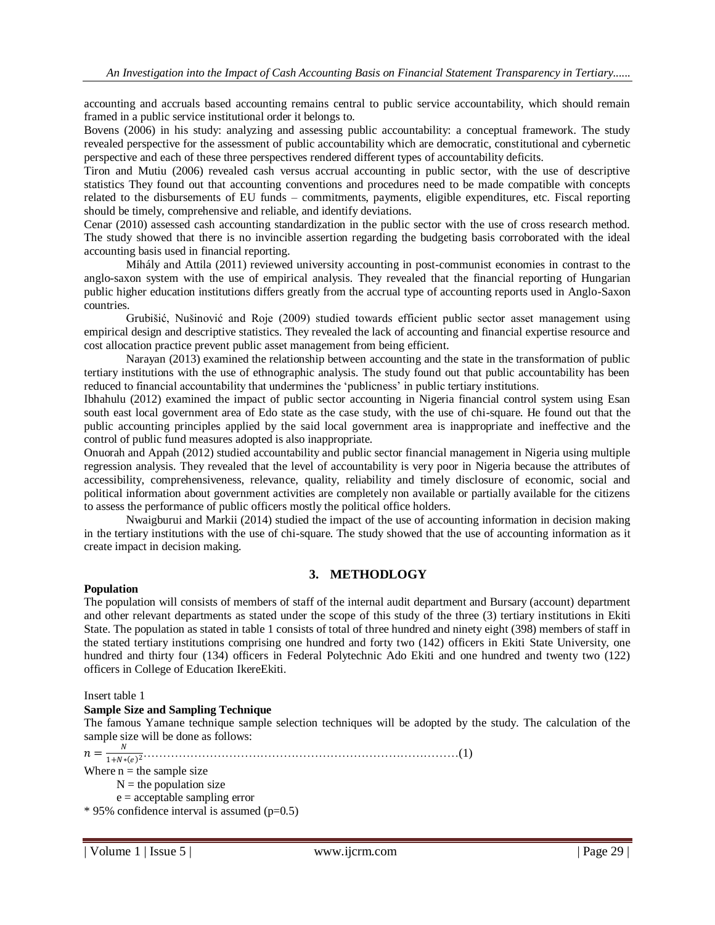accounting and accruals based accounting remains central to public service accountability, which should remain framed in a public service institutional order it belongs to.

Bovens (2006) in his study: analyzing and assessing public accountability: a conceptual framework. The study revealed perspective for the assessment of public accountability which are democratic, constitutional and cybernetic perspective and each of these three perspectives rendered different types of accountability deficits.

Tiron and Mutiu (2006) revealed cash versus accrual accounting in public sector, with the use of descriptive statistics They found out that accounting conventions and procedures need to be made compatible with concepts related to the disbursements of EU funds – commitments, payments, eligible expenditures, etc. Fiscal reporting should be timely, comprehensive and reliable, and identify deviations.

Cenar (2010) assessed cash accounting standardization in the public sector with the use of cross research method. The study showed that there is no invincible assertion regarding the budgeting basis corroborated with the ideal accounting basis used in financial reporting.

Mihály and Attila (2011) reviewed university accounting in post-communist economies in contrast to the anglo-saxon system with the use of empirical analysis. They revealed that the financial reporting of Hungarian public higher education institutions differs greatly from the accrual type of accounting reports used in Anglo-Saxon countries.

Grubišić, Nušinović and Roje (2009) studied towards efficient public sector asset management using empirical design and descriptive statistics. They revealed the lack of accounting and financial expertise resource and cost allocation practice prevent public asset management from being efficient.

Narayan (2013) examined the relationship between accounting and the state in the transformation of public tertiary institutions with the use of ethnographic analysis. The study found out that public accountability has been reduced to financial accountability that undermines the "publicness" in public tertiary institutions.

Ibhahulu (2012) examined the impact of public sector accounting in Nigeria financial control system using Esan south east local government area of Edo state as the case study, with the use of chi-square. He found out that the public accounting principles applied by the said local government area is inappropriate and ineffective and the control of public fund measures adopted is also inappropriate.

Onuorah and Appah (2012) studied accountability and public sector financial management in Nigeria using multiple regression analysis. They revealed that the level of accountability is very poor in Nigeria because the attributes of accessibility, comprehensiveness, relevance, quality, reliability and timely disclosure of economic, social and political information about government activities are completely non available or partially available for the citizens to assess the performance of public officers mostly the political office holders.

Nwaigburui and Markii (2014) studied the impact of the use of accounting information in decision making in the tertiary institutions with the use of chi-square. The study showed that the use of accounting information as it create impact in decision making.

## **3. METHODLOGY**

#### **Population**

The population will consists of members of staff of the internal audit department and Bursary (account) department and other relevant departments as stated under the scope of this study of the three (3) tertiary institutions in Ekiti State. The population as stated in table 1 consists of total of three hundred and ninety eight (398) members of staff in the stated tertiary institutions comprising one hundred and forty two (142) officers in Ekiti State University, one hundred and thirty four (134) officers in Federal Polytechnic Ado Ekiti and one hundred and twenty two (122) officers in College of Education IkereEkiti.

Insert table 1

#### **Sample Size and Sampling Technique**

The famous Yamane technique sample selection techniques will be adopted by the study. The calculation of the sample size will be done as follows:

 $n=\frac{N}{1+N}$ 1+∗ <sup>2</sup>………………………………………………………………………(1) Where  $n =$  the sample size

 $N =$  the population size

 $e =$  acceptable sampling error

 $*$  95% confidence interval is assumed (p=0.5)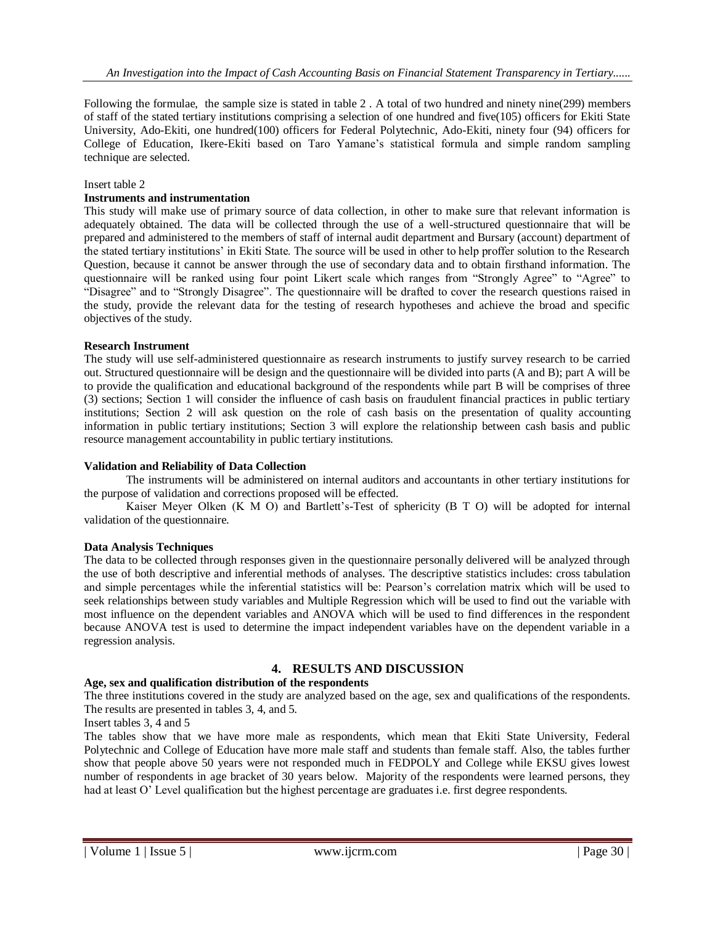Following the formulae, the sample size is stated in table 2 . A total of two hundred and ninety nine(299) members of staff of the stated tertiary institutions comprising a selection of one hundred and five(105) officers for Ekiti State University, Ado-Ekiti, one hundred(100) officers for Federal Polytechnic, Ado-Ekiti, ninety four (94) officers for College of Education, Ikere-Ekiti based on Taro Yamane"s statistical formula and simple random sampling technique are selected.

#### Insert table 2

#### **Instruments and instrumentation**

This study will make use of primary source of data collection, in other to make sure that relevant information is adequately obtained. The data will be collected through the use of a well-structured questionnaire that will be prepared and administered to the members of staff of internal audit department and Bursary (account) department of the stated tertiary institutions" in Ekiti State. The source will be used in other to help proffer solution to the Research Question, because it cannot be answer through the use of secondary data and to obtain firsthand information. The questionnaire will be ranked using four point Likert scale which ranges from "Strongly Agree" to "Agree" to "Disagree" and to "Strongly Disagree". The questionnaire will be drafted to cover the research questions raised in the study, provide the relevant data for the testing of research hypotheses and achieve the broad and specific objectives of the study.

#### **Research Instrument**

The study will use self-administered questionnaire as research instruments to justify survey research to be carried out. Structured questionnaire will be design and the questionnaire will be divided into parts (A and B); part A will be to provide the qualification and educational background of the respondents while part B will be comprises of three (3) sections; Section 1 will consider the influence of cash basis on fraudulent financial practices in public tertiary institutions; Section 2 will ask question on the role of cash basis on the presentation of quality accounting information in public tertiary institutions; Section 3 will explore the relationship between cash basis and public resource management accountability in public tertiary institutions.

#### **Validation and Reliability of Data Collection**

The instruments will be administered on internal auditors and accountants in other tertiary institutions for the purpose of validation and corrections proposed will be effected.

Kaiser Meyer Olken (K M O) and Bartlett's-Test of sphericity (B T O) will be adopted for internal validation of the questionnaire.

#### **Data Analysis Techniques**

The data to be collected through responses given in the questionnaire personally delivered will be analyzed through the use of both descriptive and inferential methods of analyses. The descriptive statistics includes: cross tabulation and simple percentages while the inferential statistics will be: Pearson"s correlation matrix which will be used to seek relationships between study variables and Multiple Regression which will be used to find out the variable with most influence on the dependent variables and ANOVA which will be used to find differences in the respondent because ANOVA test is used to determine the impact independent variables have on the dependent variable in a regression analysis.

#### **4. RESULTS AND DISCUSSION**

#### **Age, sex and qualification distribution of the respondents**

The three institutions covered in the study are analyzed based on the age, sex and qualifications of the respondents. The results are presented in tables 3, 4, and 5.

#### Insert tables 3, 4 and 5

The tables show that we have more male as respondents, which mean that Ekiti State University, Federal Polytechnic and College of Education have more male staff and students than female staff. Also, the tables further show that people above 50 years were not responded much in FEDPOLY and College while EKSU gives lowest number of respondents in age bracket of 30 years below. Majority of the respondents were learned persons, they had at least O' Level qualification but the highest percentage are graduates i.e. first degree respondents.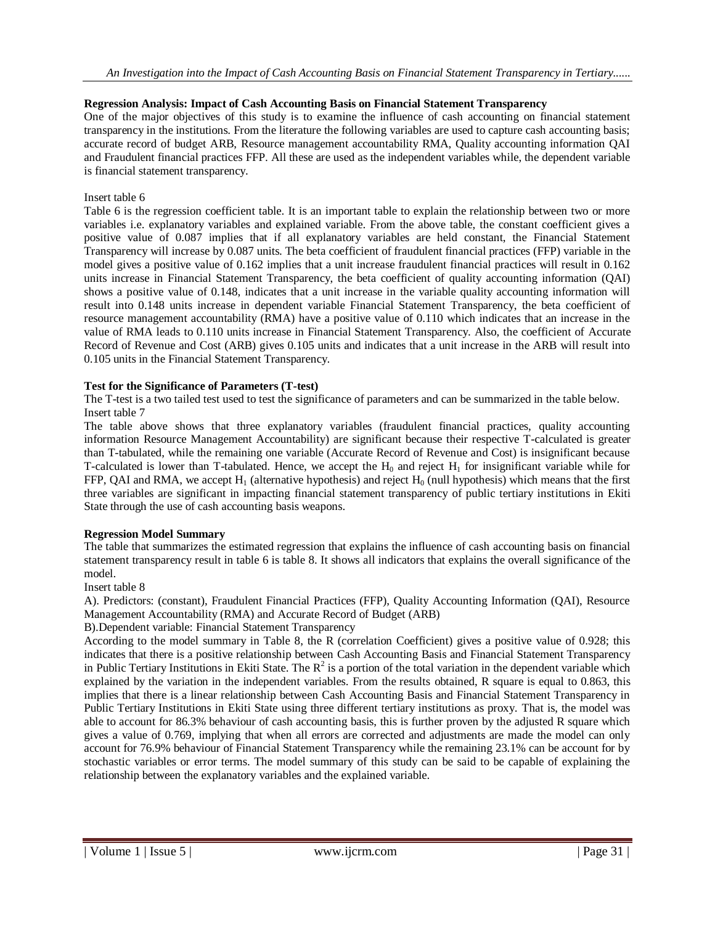## **Regression Analysis: Impact of Cash Accounting Basis on Financial Statement Transparency**

One of the major objectives of this study is to examine the influence of cash accounting on financial statement transparency in the institutions. From the literature the following variables are used to capture cash accounting basis; accurate record of budget ARB, Resource management accountability RMA, Quality accounting information QAI and Fraudulent financial practices FFP. All these are used as the independent variables while, the dependent variable is financial statement transparency.

#### Insert table 6

Table 6 is the regression coefficient table. It is an important table to explain the relationship between two or more variables i.e. explanatory variables and explained variable. From the above table, the constant coefficient gives a positive value of 0.087 implies that if all explanatory variables are held constant, the Financial Statement Transparency will increase by 0.087 units. The beta coefficient of fraudulent financial practices (FFP) variable in the model gives a positive value of 0.162 implies that a unit increase fraudulent financial practices will result in 0.162 units increase in Financial Statement Transparency, the beta coefficient of quality accounting information (QAI) shows a positive value of 0.148, indicates that a unit increase in the variable quality accounting information will result into 0.148 units increase in dependent variable Financial Statement Transparency, the beta coefficient of resource management accountability (RMA) have a positive value of 0.110 which indicates that an increase in the value of RMA leads to 0.110 units increase in Financial Statement Transparency. Also, the coefficient of Accurate Record of Revenue and Cost (ARB) gives 0.105 units and indicates that a unit increase in the ARB will result into 0.105 units in the Financial Statement Transparency.

## **Test for the Significance of Parameters (T-test)**

The T-test is a two tailed test used to test the significance of parameters and can be summarized in the table below. Insert table 7

The table above shows that three explanatory variables (fraudulent financial practices, quality accounting information Resource Management Accountability) are significant because their respective T-calculated is greater than T-tabulated, while the remaining one variable (Accurate Record of Revenue and Cost) is insignificant because T-calculated is lower than T-tabulated. Hence, we accept the  $H_0$  and reject  $H_1$  for insignificant variable while for FFP, QAI and RMA, we accept  $H_1$  (alternative hypothesis) and reject  $H_0$  (null hypothesis) which means that the first three variables are significant in impacting financial statement transparency of public tertiary institutions in Ekiti State through the use of cash accounting basis weapons.

#### **Regression Model Summary**

The table that summarizes the estimated regression that explains the influence of cash accounting basis on financial statement transparency result in table 6 is table 8. It shows all indicators that explains the overall significance of the model.

#### Insert table 8

A). Predictors: (constant), Fraudulent Financial Practices (FFP), Quality Accounting Information (QAI), Resource Management Accountability (RMA) and Accurate Record of Budget (ARB)

B).Dependent variable: Financial Statement Transparency

According to the model summary in Table 8, the R (correlation Coefficient) gives a positive value of 0.928; this indicates that there is a positive relationship between Cash Accounting Basis and Financial Statement Transparency in Public Tertiary Institutions in Ekiti State. The  $R^2$  is a portion of the total variation in the dependent variable which explained by the variation in the independent variables. From the results obtained, R square is equal to 0.863, this implies that there is a linear relationship between Cash Accounting Basis and Financial Statement Transparency in Public Tertiary Institutions in Ekiti State using three different tertiary institutions as proxy. That is, the model was able to account for 86.3% behaviour of cash accounting basis, this is further proven by the adjusted R square which gives a value of 0.769, implying that when all errors are corrected and adjustments are made the model can only account for 76.9% behaviour of Financial Statement Transparency while the remaining 23.1% can be account for by stochastic variables or error terms. The model summary of this study can be said to be capable of explaining the relationship between the explanatory variables and the explained variable.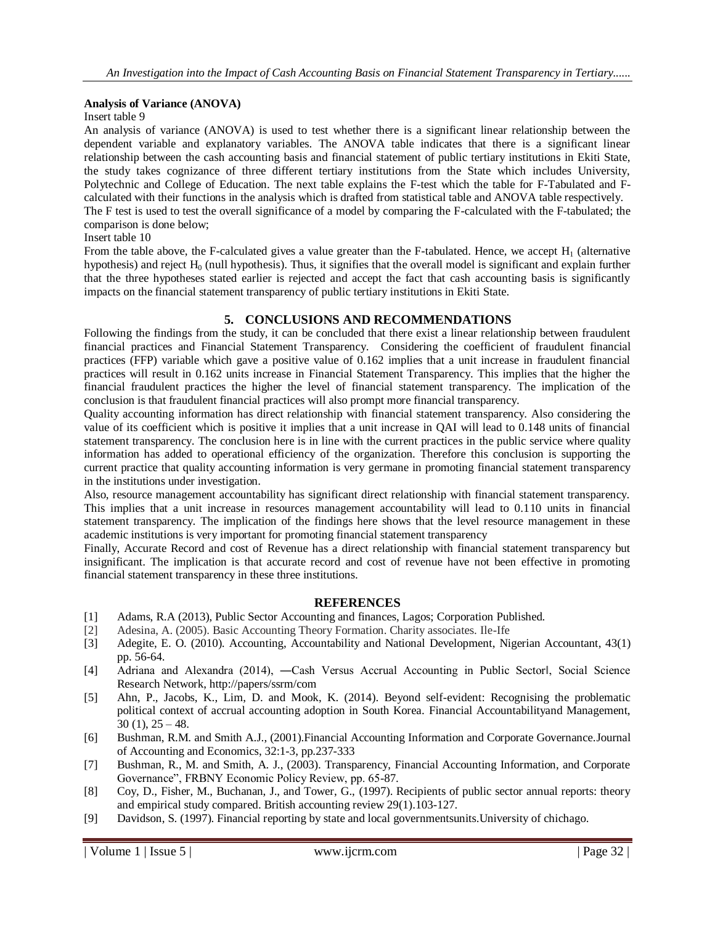#### **Analysis of Variance (ANOVA)**

#### Insert table 9

An analysis of variance (ANOVA) is used to test whether there is a significant linear relationship between the dependent variable and explanatory variables. The ANOVA table indicates that there is a significant linear relationship between the cash accounting basis and financial statement of public tertiary institutions in Ekiti State, the study takes cognizance of three different tertiary institutions from the State which includes University, Polytechnic and College of Education. The next table explains the F-test which the table for F-Tabulated and Fcalculated with their functions in the analysis which is drafted from statistical table and ANOVA table respectively. The F test is used to test the overall significance of a model by comparing the F-calculated with the F-tabulated; the comparison is done below;

#### Insert table 10

From the table above, the F-calculated gives a value greater than the F-tabulated. Hence, we accept  $H_1$  (alternative hypothesis) and reject  $H_0$  (null hypothesis). Thus, it signifies that the overall model is significant and explain further that the three hypotheses stated earlier is rejected and accept the fact that cash accounting basis is significantly impacts on the financial statement transparency of public tertiary institutions in Ekiti State.

## **5. CONCLUSIONS AND RECOMMENDATIONS**

Following the findings from the study, it can be concluded that there exist a linear relationship between fraudulent financial practices and Financial Statement Transparency. Considering the coefficient of fraudulent financial practices (FFP) variable which gave a positive value of 0.162 implies that a unit increase in fraudulent financial practices will result in 0.162 units increase in Financial Statement Transparency. This implies that the higher the financial fraudulent practices the higher the level of financial statement transparency. The implication of the conclusion is that fraudulent financial practices will also prompt more financial transparency.

Quality accounting information has direct relationship with financial statement transparency. Also considering the value of its coefficient which is positive it implies that a unit increase in QAI will lead to 0.148 units of financial statement transparency. The conclusion here is in line with the current practices in the public service where quality information has added to operational efficiency of the organization. Therefore this conclusion is supporting the current practice that quality accounting information is very germane in promoting financial statement transparency in the institutions under investigation.

Also, resource management accountability has significant direct relationship with financial statement transparency. This implies that a unit increase in resources management accountability will lead to 0.110 units in financial statement transparency. The implication of the findings here shows that the level resource management in these academic institutions is very important for promoting financial statement transparency

Finally, Accurate Record and cost of Revenue has a direct relationship with financial statement transparency but insignificant. The implication is that accurate record and cost of revenue have not been effective in promoting financial statement transparency in these three institutions.

#### **REFERENCES**

- [1] Adams, R.A (2013), Public Sector Accounting and finances, Lagos; Corporation Published.
- [2] Adesina, A. (2005). Basic Accounting Theory Formation. Charity associates. Ile-Ife
- [3] Adegite, E. O. (2010). Accounting, Accountability and National Development, Nigerian Accountant, 43(1) pp. 56-64.
- [4] Adriana and Alexandra (2014), ―Cash Versus Accrual Accounting in Public Sectorǁ, Social Science Research Network, http://papers/ssrm/com
- [5] Ahn, P., Jacobs, K., Lim, D. and Mook, K. (2014). Beyond self-evident: Recognising the problematic political context of accrual accounting adoption in South Korea. Financial Accountabilityand Management,  $30(1)$ ,  $25 - 48$ .
- [6] Bushman, R.M. and Smith A.J., (2001).Financial Accounting Information and Corporate Governance.Journal of Accounting and Economics, 32:1-3, pp.237-333
- [7] Bushman, R., M. and Smith, A. J., (2003). Transparency, Financial Accounting Information, and Corporate Governance", FRBNY Economic Policy Review, pp. 65-87.
- [8] Coy, D., Fisher, M., Buchanan, J., and Tower, G., (1997). Recipients of public sector annual reports: theory and empirical study compared. British accounting review 29(1).103-127.
- [9] Davidson, S. (1997). Financial reporting by state and local governmentsunits.University of chichago.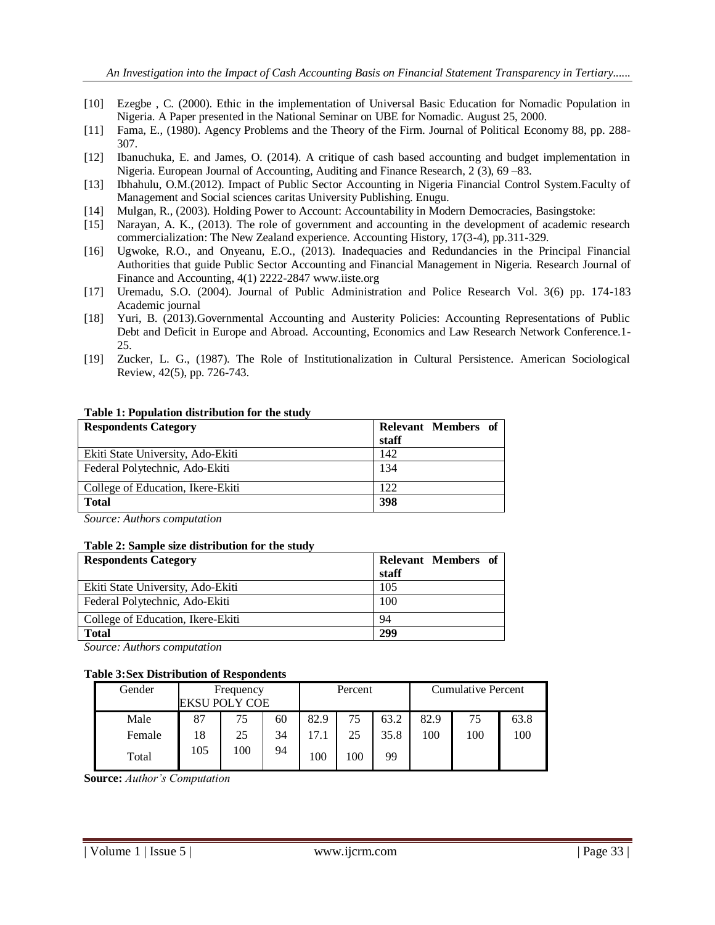- [10] Ezegbe , C. (2000). Ethic in the implementation of Universal Basic Education for Nomadic Population in Nigeria. A Paper presented in the National Seminar on UBE for Nomadic. August 25, 2000.
- [11] Fama, E., (1980). Agency Problems and the Theory of the Firm. Journal of Political Economy 88, pp. 288- 307.
- [12] Ibanuchuka, E. and James, O. (2014). A critique of cash based accounting and budget implementation in Nigeria. European Journal of Accounting, Auditing and Finance Research, 2 (3), 69 –83.
- [13] Ibhahulu, O.M.(2012). Impact of Public Sector Accounting in Nigeria Financial Control System.Faculty of Management and Social sciences caritas University Publishing. Enugu.
- [14] Mulgan, R., (2003). Holding Power to Account: Accountability in Modern Democracies, Basingstoke:
- [15] Narayan, A. K., (2013). The role of government and accounting in the development of academic research commercialization: The New Zealand experience. Accounting History, 17(3-4), pp.311-329.
- [16] Ugwoke, R.O., and Onyeanu, E.O., (2013). Inadequacies and Redundancies in the Principal Financial Authorities that guide Public Sector Accounting and Financial Management in Nigeria. Research Journal of Finance and Accounting, 4(1) 2222-2847 www.iiste.org
- [17] Uremadu, S.O. (2004). Journal of Public Administration and Police Research Vol. 3(6) pp. 174-183 Academic journal
- [18] Yuri, B. (2013).Governmental Accounting and Austerity Policies: Accounting Representations of Public Debt and Deficit in Europe and Abroad. Accounting, Economics and Law Research Network Conference.1- 25.
- [19] Zucker, L. G., (1987). The Role of Institutionalization in Cultural Persistence. American Sociological Review, 42(5), pp. 726-743.

| <b>Respondents Category</b>       | Relevant Members of<br>staff |
|-----------------------------------|------------------------------|
| Ekiti State University, Ado-Ekiti | 142                          |
| Federal Polytechnic, Ado-Ekiti    | 134                          |
| College of Education, Ikere-Ekiti | 122                          |
| <b>Total</b>                      | 398                          |

#### **Table 1: Population distribution for the study**

*Source: Authors computation*

#### **Table 2: Sample size distribution for the study**

| <b>Respondents Category</b>       | Relevant Members of<br>staff |
|-----------------------------------|------------------------------|
| Ekiti State University, Ado-Ekiti | 105                          |
| Federal Polytechnic, Ado-Ekiti    | 100                          |
| College of Education, Ikere-Ekiti | 94                           |
| <b>Total</b>                      | 299                          |

*Source: Authors computation*

#### **Table 3:Sex Distribution of Respondents**

| Gender | Frequency<br>EKSU POLY COE |     |    | Percent |     |      | <b>Cumulative Percent</b> |     |      |
|--------|----------------------------|-----|----|---------|-----|------|---------------------------|-----|------|
| Male   | 87                         | 75  | 60 | 82.9    | 75  | 63.2 | 82.9                      | 75  | 63.8 |
| Female | 18                         | 25  | 34 | 17.1    | 25  | 35.8 | 100                       | 100 | 100  |
| Total  | 105                        | 100 | 94 | 100     | 100 | 99   |                           |     |      |

**Source:** *Author's Computation*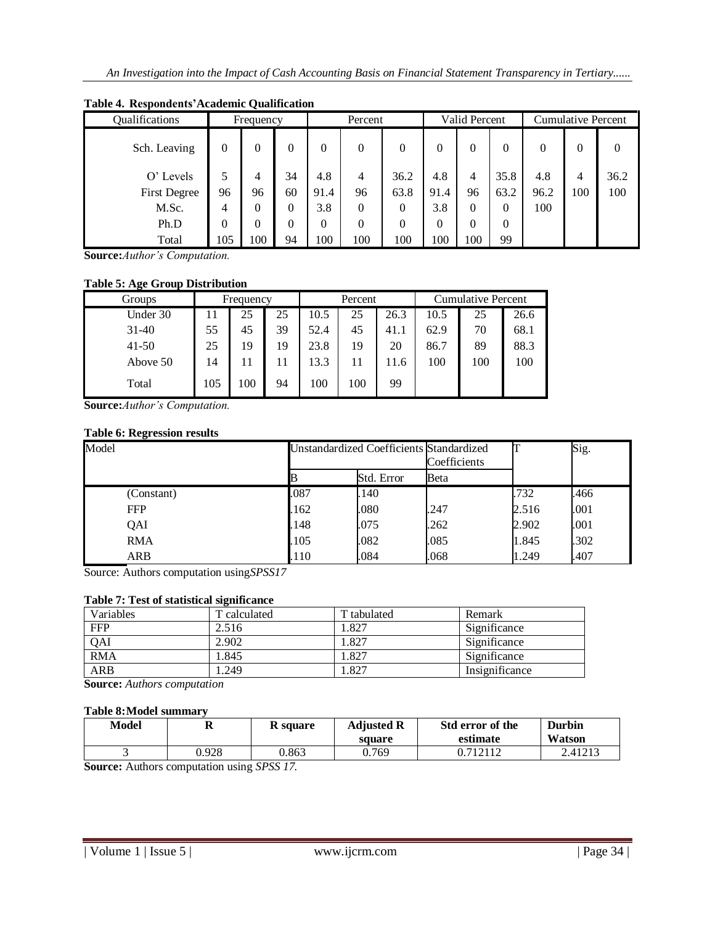| Qualifications      |          | Frequency |    | Percent  |          | Valid Percent |          | <b>Cumulative Percent</b> |          |          |          |          |
|---------------------|----------|-----------|----|----------|----------|---------------|----------|---------------------------|----------|----------|----------|----------|
| Sch. Leaving        | $\theta$ | 0         | 0  | $\Omega$ | $\theta$ | $\Omega$      | $\theta$ | $\theta$                  | $\Omega$ | $\Omega$ | $\Omega$ | $\theta$ |
| O' Levels           |          | 4         | 34 | 4.8      | 4        | 36.2          | 4.8      | $\overline{4}$            | 35.8     | 4.8      | 4        | 36.2     |
| <b>First Degree</b> | 96       | 96        | 60 | 91.4     | 96       | 63.8          | 91.4     | 96                        | 63.2     | 96.2     | 100      | 100      |
| M.Sc.               | 4        | 0         | 0  | 3.8      | 0        | $\theta$      | 3.8      | $\theta$                  | $\Omega$ | 100      |          |          |
| Ph.D                | $\theta$ | 0         | 0  | $\Omega$ | 0        | 0             | 0        | $\theta$                  | $\Omega$ |          |          |          |
| Total               | 105      | 100       | 94 | 100      | 100      | 100           | 100      | 100                       | 99       |          |          |          |

## **Table 4. Respondents'Academic Qualification**

**Source:***Author's Computation.*

## **Table 5: Age Group Distribution**

| Groups    | Frequency |     | Percent |      |     | <b>Cumulative Percent</b> |      |     |      |
|-----------|-----------|-----|---------|------|-----|---------------------------|------|-----|------|
| Under 30  |           | 25  | 25      | 10.5 | 25  | 26.3                      | 10.5 | 25  | 26.6 |
| $31 - 40$ | 55        | 45  | 39      | 52.4 | 45  | 41.1                      | 62.9 | 70  | 68.1 |
| $41 - 50$ | 25        | 19  | 19      | 23.8 | 19  | 20                        | 86.7 | 89  | 88.3 |
| Above 50  | 14        | 11  | 11      | 13.3 | 11  | 11.6                      | 100  | 100 | 100  |
| Total     | 105       | 100 | 94      | 100  | 100 | 99                        |      |     |      |

**Source:***Author's Computation.*

## **Table 6: Regression results**

| Model      |      | Unstandardized Coefficients Standardized | Coefficients |       | Sig. |
|------------|------|------------------------------------------|--------------|-------|------|
|            | IB   | Std. Error                               | <b>B</b> eta |       |      |
| (Constant) | .087 | .140                                     |              | .732  | .466 |
| <b>FFP</b> | .162 | .080                                     | .247         | 2.516 | .001 |
| QAI        | .148 | .075                                     | .262         | 2.902 | .001 |
| <b>RMA</b> | .105 | .082                                     | .085         | 1.845 | .302 |
| <b>ARB</b> | .110 | .084                                     | .068         | 1.249 | .407 |

Source: Authors computation using*SPSS17*

## **Table 7: Test of statistical significance**

| Variables  | T calculated | T tabulated | Remark         |
|------------|--------------|-------------|----------------|
| <b>FFP</b> | 2.516        | .827        | Significance   |
| QAI        | 2.902        | .827        | Significance   |
| <b>RMA</b> | 1.845        | .827        | Significance   |
| <b>ARB</b> | .249         | .827        | Insignificance |

**Source:** *Authors computation*

#### **Table 8:Model summary**

| Model | v     | <b>R</b> square | <b>Adjusted R</b> | Std error of the | Durbin  |  |  |
|-------|-------|-----------------|-------------------|------------------|---------|--|--|
|       |       |                 | square            | estimate         | Watson  |  |  |
|       | 0.928 | 0.863           | 0.769             | በ 712112         | 2.41213 |  |  |
|       |       |                 |                   |                  |         |  |  |

**Source:** Authors computation using *SPSS 17.*